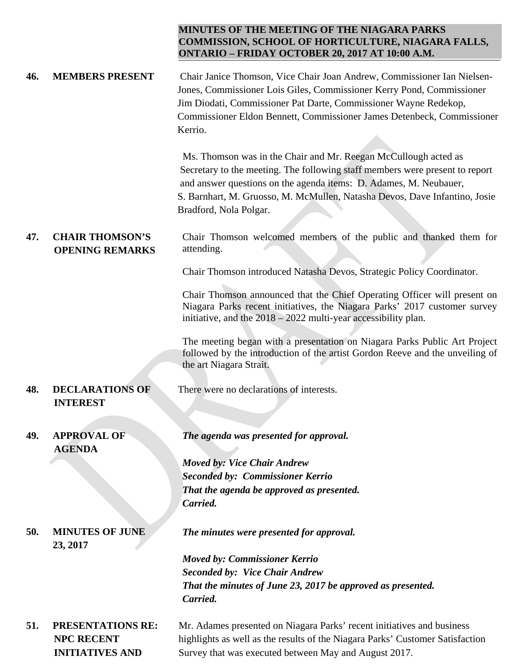## **MINUTES OF THE MEETING OF THE NIAGARA PARKS COMMISSION, SCHOOL OF HORTICULTURE, NIAGARA FALLS, ONTARIO – FRIDAY OCTOBER 20, 2017 AT 10:00 A.M.**

| 46. | <b>MEMBERS PRESENT</b>                                                  | Chair Janice Thomson, Vice Chair Joan Andrew, Commissioner Ian Nielsen-<br>Jones, Commissioner Lois Giles, Commissioner Kerry Pond, Commissioner<br>Jim Diodati, Commissioner Pat Darte, Commissioner Wayne Redekop,<br>Commissioner Eldon Bennett, Commissioner James Detenbeck, Commissioner<br>Kerrio.                    |
|-----|-------------------------------------------------------------------------|------------------------------------------------------------------------------------------------------------------------------------------------------------------------------------------------------------------------------------------------------------------------------------------------------------------------------|
|     |                                                                         | Ms. Thomson was in the Chair and Mr. Reegan McCullough acted as<br>Secretary to the meeting. The following staff members were present to report<br>and answer questions on the agenda items: D. Adames, M. Neubauer,<br>S. Barnhart, M. Gruosso, M. McMullen, Natasha Devos, Dave Infantino, Josie<br>Bradford, Nola Polgar. |
| 47. | <b>CHAIR THOMSON'S</b><br><b>OPENING REMARKS</b>                        | Chair Thomson welcomed members of the public and thanked them for<br>attending.                                                                                                                                                                                                                                              |
|     |                                                                         | Chair Thomson introduced Natasha Devos, Strategic Policy Coordinator.                                                                                                                                                                                                                                                        |
|     |                                                                         | Chair Thomson announced that the Chief Operating Officer will present on<br>Niagara Parks recent initiatives, the Niagara Parks' 2017 customer survey<br>initiative, and the $2018 - 2022$ multi-year accessibility plan.                                                                                                    |
|     |                                                                         | The meeting began with a presentation on Niagara Parks Public Art Project<br>followed by the introduction of the artist Gordon Reeve and the unveiling of<br>the art Niagara Strait.                                                                                                                                         |
| 48. | <b>DECLARATIONS OF</b><br><b>INTEREST</b>                               | There were no declarations of interests.                                                                                                                                                                                                                                                                                     |
| 49. | <b>APPROVAL OF</b>                                                      | The agenda was presented for approval.                                                                                                                                                                                                                                                                                       |
|     | <b>AGENDA</b>                                                           |                                                                                                                                                                                                                                                                                                                              |
|     |                                                                         | <b>Moved by: Vice Chair Andrew</b>                                                                                                                                                                                                                                                                                           |
|     |                                                                         | <b>Seconded by: Commissioner Kerrio</b><br>That the agenda be approved as presented.                                                                                                                                                                                                                                         |
|     |                                                                         | Carried.                                                                                                                                                                                                                                                                                                                     |
| 50. | <b>MINUTES OF JUNE</b><br>23, 2017                                      | The minutes were presented for approval.                                                                                                                                                                                                                                                                                     |
|     |                                                                         | <b>Moved by: Commissioner Kerrio</b>                                                                                                                                                                                                                                                                                         |
|     |                                                                         | <b>Seconded by: Vice Chair Andrew</b>                                                                                                                                                                                                                                                                                        |
|     |                                                                         | That the minutes of June 23, 2017 be approved as presented.<br>Carried.                                                                                                                                                                                                                                                      |
| 51. | <b>PRESENTATIONS RE:</b><br><b>NPC RECENT</b><br><b>INITIATIVES AND</b> | Mr. Adames presented on Niagara Parks' recent initiatives and business<br>highlights as well as the results of the Niagara Parks' Customer Satisfaction<br>Survey that was executed between May and August 2017.                                                                                                             |